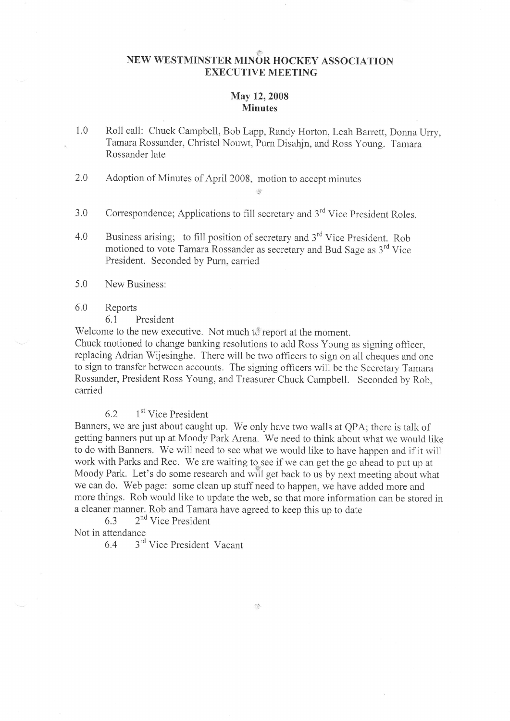# NEW WESTMINSTER MINOR HOCKEY ASSOCIATION EXECUTIVE MEETING

#### May 12, 2008 **Minutes**

1.0 Roll call: Chuck Campbell, Bob Lapp, Randy Horton, Leah Barrett, Donna Urry, Tamara Rossander, christel Nouwt, Purn Disahjn, and Ross young. Tamara Rossander late

it

- 2.0 Adoption of Minutes of April 2008, motion to accept minutes
- 3.0 Correspondence; Applications to fill secretary and 3<sup>rd</sup> Vice President Roles.
- 4.0 Business arising; to fill position of secretary and 3<sup>rd</sup> Vice President. Rob motioned to vote Tamara Rossander as secretary and Bud Sage as 3<sup>rd</sup> Vice President. Seconded by Purn, carried
- 5.0 New Business:
- 6.0 Reports
	- 6.1 President

Welcome to the new executive. Not much to report at the moment.

Chuck motioned to change banking resolutions to add Ross Young as signing officer, replacing Adrian Wijesinghe. There will be two officers to sign on all cheques and one to sign to transfer between accounts. The signing officers will be the Secretary Tamara Rossander, President Ross Young, and Treasurer Chuck Campbell. Seconded by Rob, carried

## 6.2  $1<sup>st</sup>$  Vice President

Banners, we are just about caught up. We only have two walls at QPA; there is talk of getting banners put up at Moody Park Arena. We need to think about what we would like to do with Banners. We will need to see what we would like to have happen and if it will work with Parks and Rec. We are waiting to see if we can get the go ahead to put up at Moody Park. Let's do some research and will get back to us by next meeting about what we can do. Web page: some clean up stuff need to happen, we have added more and more things. Rob would like to update the web, so that more information can be stored in a cleaner manner. Rob and Tamara have agreed to keep this up to date

6.3 2nd Vice President Not in attendance

6.4 3'd Vice President Vacant

 $\mathcal{L}$